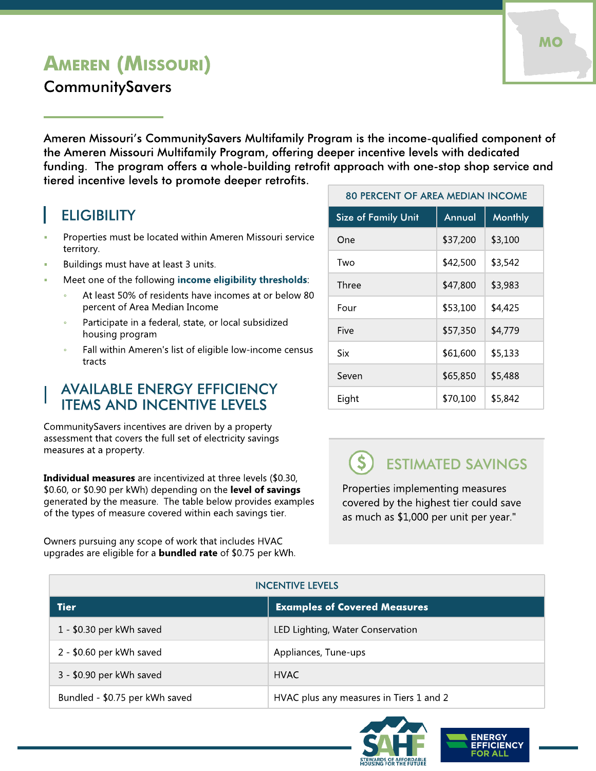# AMEREN (MISSOURI)

**CommunitySavers** 

Ameren Missouri?s CommunitySavers Multifamily Program is the income-qualified component of the Ameren Missouri Multifamily Program, offering deeper incentive levels with dedicated funding. The program offers a whole-building retrofit approach with one-stop shop service and tiered incentive levels to promote deeper retrofits.

## **ELIGIBILITY**

- Properties must be located within Ameren Missouri service territory.
- Buildings must have at least 3 units.
- Meet one of the following [income](http://www.amerenmissourisavings.com/multifamily) [eligibility](http://www.amerenmissourisavings.com/multifamily) [thresholds](http://www.amerenmissourisavings.com/multifamily):
	- At least 50% of residents have incomes at or below 80 percent of Area Median Income
	- Participate in a federal, state, or local subsidized housing program
	- Fall within Ameren's list of eligible low-income census tracts

#### **AVAILABLE ENERGY EFFICIENCY** ITEMS AND INCENTIVE LEVELS

Community Savers incentives are driven by a property assessment that covers the full set of electricity savings measures at a property.

Individual measures are incentivized at three levels (\$0.30, \$0.60, or \$0.90 per kWh) depending on the level of savings generated by the measure. The table below provides examples of the types of measure covered within each savings tier.

Owners pursuing any scope of work that includes HVAC upgrades are eligible for a **bundled rate** of \$0.75 per kWh.

| <b>80 PERCENT OF AREA MEDIAN INCOME</b> |          |                |
|-----------------------------------------|----------|----------------|
| <b>Size of Family Unit</b>              | Annual   | <b>Monthly</b> |
| One                                     | \$37,200 | \$3,100        |
| Two                                     | \$42,500 | \$3,542        |
| Three                                   | \$47,800 | \$3,983        |
| Four                                    | \$53,100 | \$4,425        |
| Five                                    | \$57,350 | \$4,779        |
| Six                                     | \$61,600 | \$5,133        |
| Seven                                   | \$65,850 | \$5,488        |
| Eight                                   | \$70,100 | \$5,842        |

#### $\mathsf{S}$ ESTIMATED SAVINGS

Properties implementing measures covered by the highest tier could save as much as \$1,000 per unit per year."

| <b>INCENTIVE LEVELS</b>        |                                         |  |
|--------------------------------|-----------------------------------------|--|
| <b>Tier</b>                    | <b>Examples of Covered Measures</b>     |  |
| $1 - $0.30$ per kWh saved      | LED Lighting, Water Conservation        |  |
| 2 - \$0.60 per kWh saved       | Appliances, Tune-ups                    |  |
| 3 - \$0.90 per kWh saved       | <b>HVAC</b>                             |  |
| Bundled - \$0.75 per kWh saved | HVAC plus any measures in Tiers 1 and 2 |  |



**ICIENCY**